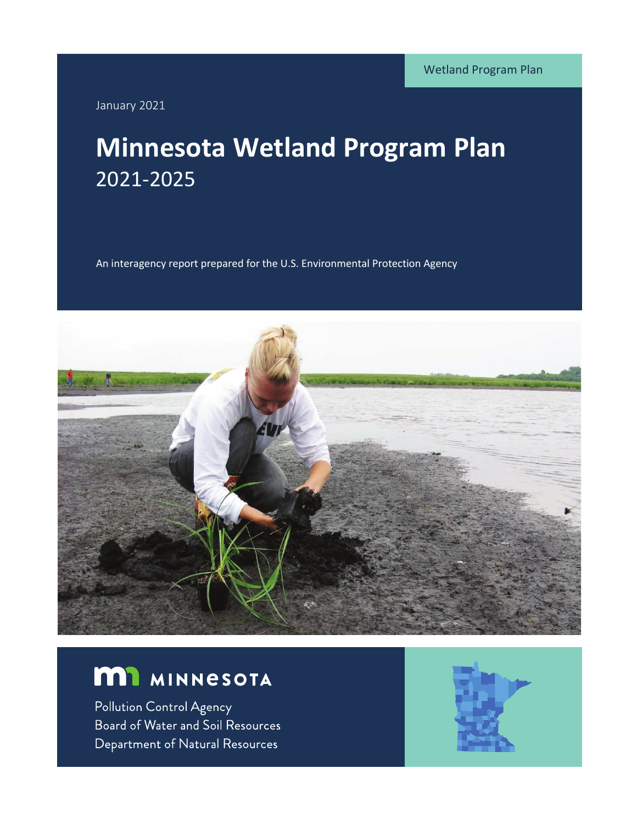January 2021

# **Minnesota Wetland Program Plan** 2021-2025

An interagency report prepared for the U.S. Environmental Protection Agency



# **M1** MINNESOTA

Pollution Control Agency Board of Water and Soil Resources Department of Natural Resources

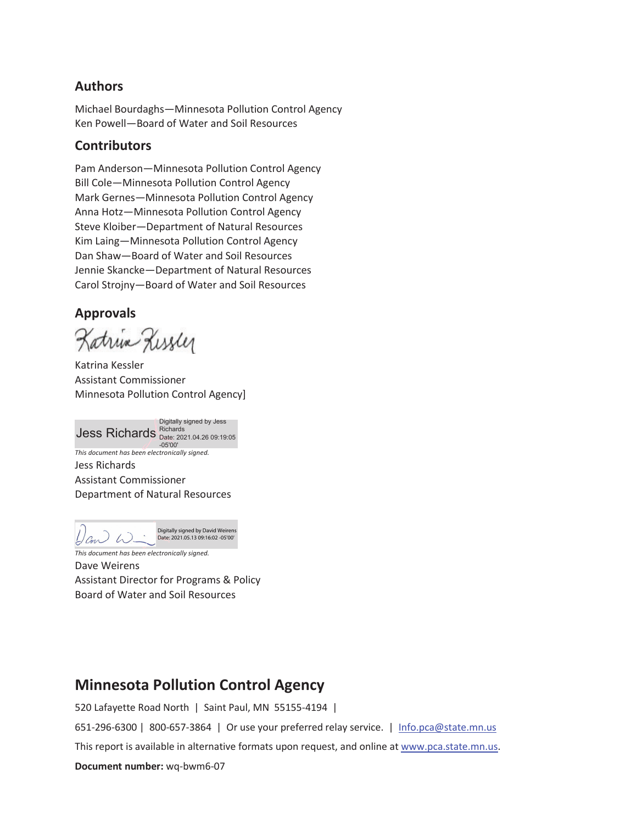#### **Authors**

Michael Bourdaghs—Minnesota Pollution Control Agency Ken Powell—Board of Water and Soil Resources

#### **Contributors**

Pam Anderson—Minnesota Pollution Control Agency Bill Cole—Minnesota Pollution Control Agency Mark Gernes—Minnesota Pollution Control Agency Anna Hotz—Minnesota Pollution Control Agency Steve Kloiber—Department of Natural Resources Kim Laing—Minnesota Pollution Control Agency Dan Shaw—Board of Water and Soil Resources Jennie Skancke—Department of Natural Resources Carol Strojny—Board of Water and Soil Resources

#### **Approvals**

Katrix Kissler

Katrina Kessler Assistant Commissioner Minnesota Pollution Control Agency]

*This document has been electronically signed.*  Jess Richards **Richards**<br>Date: 2021.04.26 09:19:05 Digitally signed by Jess -05'00'

Jess Richards Assistant Commissioner Department of Natural Resources

Digitally signed by David Weirens Date: 2021.05.13 09:16:02 -05'00' $L$ an W

*This document has been electronically signed.*  Dave Weirens Assistant Director for Programs & Policy Board of Water and Soil Resources

### **Minnesota Pollution Control Agency**

520 Lafayette Road North | Saint Paul, MN 55155-4194 |

651-296-6300 | 800-657-3864 | Or use your preferred relay service. | Info.pca@state.mn.us

This report is available in alternative formats upon request, and online at www.pca.state.mn.us.

**Document number:** wq-bwm6-07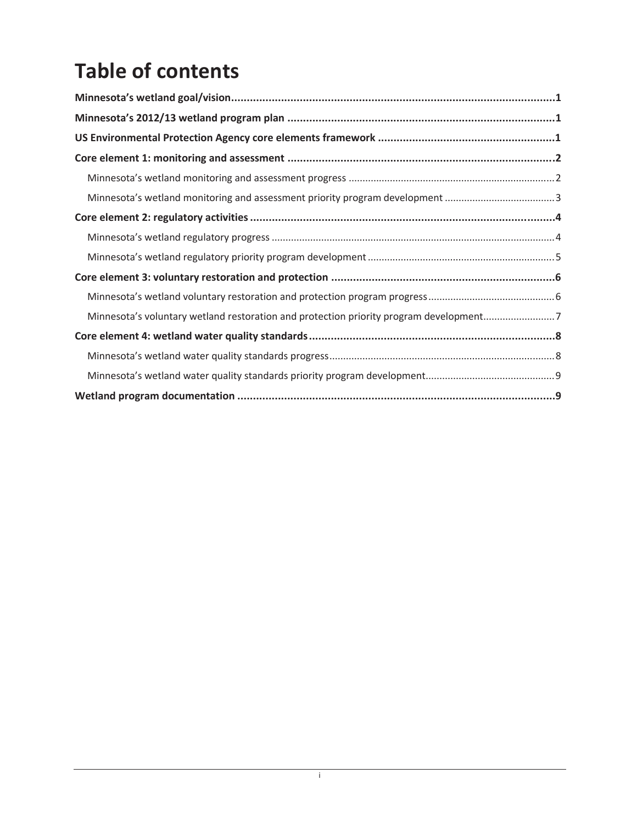# **Table of contents**

| Minnesota's voluntary wetland restoration and protection priority program development7 |  |  |  |  |  |
|----------------------------------------------------------------------------------------|--|--|--|--|--|
|                                                                                        |  |  |  |  |  |
|                                                                                        |  |  |  |  |  |
|                                                                                        |  |  |  |  |  |
|                                                                                        |  |  |  |  |  |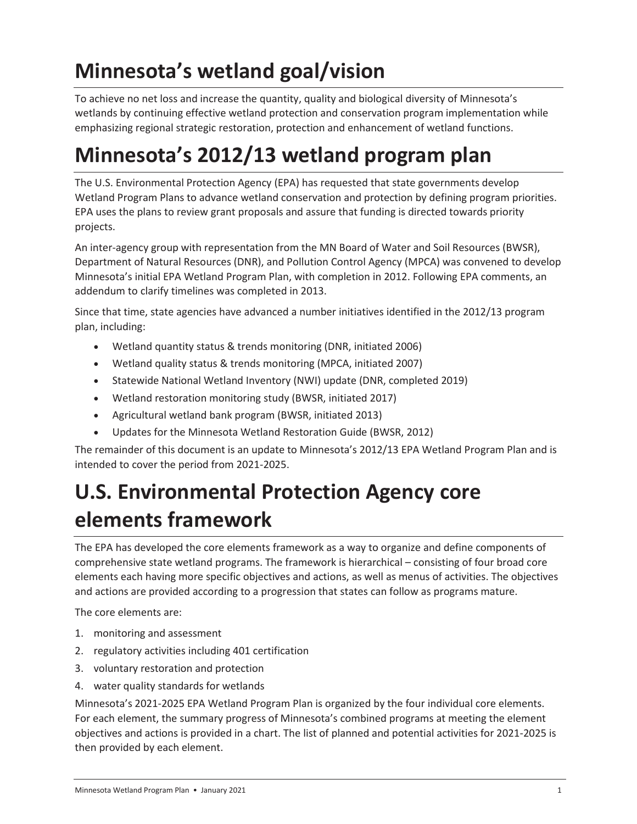# **Minnesota's wetland goal/vision**

To achieve no net loss and increase the quantity, quality and biological diversity of Minnesota's wetlands by continuing effective wetland protection and conservation program implementation while emphasizing regional strategic restoration, protection and enhancement of wetland functions.

# **Minnesota's 2012/13 wetland program plan**

The U.S. Environmental Protection Agency (EPA) has requested that state governments develop Wetland Program Plans to advance wetland conservation and protection by defining program priorities. EPA uses the plans to review grant proposals and assure that funding is directed towards priority projects.

An inter-agency group with representation from the MN Board of Water and Soil Resources (BWSR), Department of Natural Resources (DNR), and Pollution Control Agency (MPCA) was convened to develop Minnesota's initial EPA Wetland Program Plan, with completion in 2012. Following EPA comments, an addendum to clarify timelines was completed in 2013.

Since that time, state agencies have advanced a number initiatives identified in the 2012/13 program plan, including:

- Wetland quantity status & trends monitoring (DNR, initiated 2006)
- Wetland quality status & trends monitoring (MPCA, initiated 2007)
- Statewide National Wetland Inventory (NWI) update (DNR, completed 2019)
- Wetland restoration monitoring study (BWSR, initiated 2017)
- Agricultural wetland bank program (BWSR, initiated 2013)
- Updates for the Minnesota Wetland Restoration Guide (BWSR, 2012)

The remainder of this document is an update to Minnesota's 2012/13 EPA Wetland Program Plan and is intended to cover the period from 2021-2025.

# **U.S. Environmental Protection Agency core elements framework**

The EPA has developed the core elements framework as a way to organize and define components of comprehensive state wetland programs. The framework is hierarchical – consisting of four broad core elements each having more specific objectives and actions, as well as menus of activities. The objectives and actions are provided according to a progression that states can follow as programs mature.

The core elements are:

- 1. monitoring and assessment
- 2. regulatory activities including 401 certification
- 3. voluntary restoration and protection
- 4. water quality standards for wetlands

Minnesota's 2021-2025 EPA Wetland Program Plan is organized by the four individual core elements. For each element, the summary progress of Minnesota's combined programs at meeting the element objectives and actions is provided in a chart. The list of planned and potential activities for 2021-2025 is then provided by each element.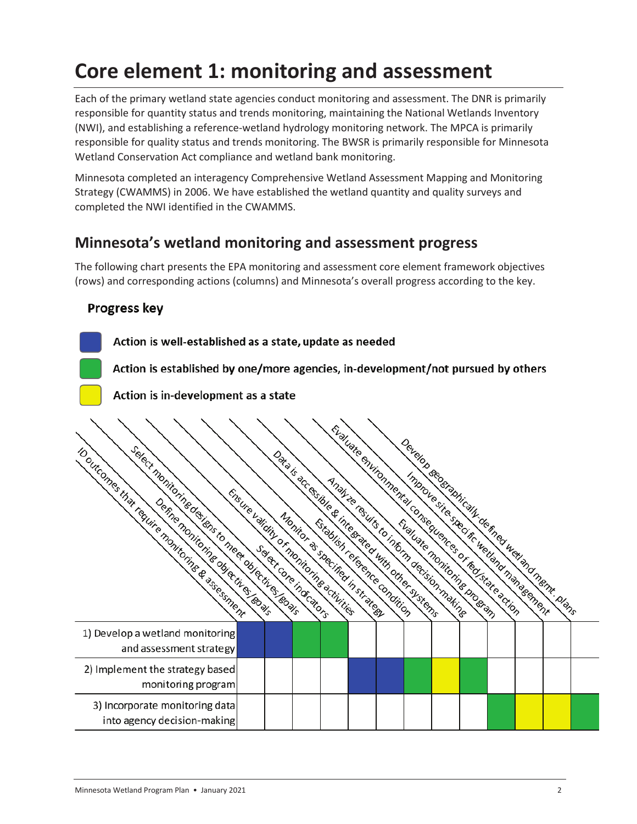# **Core element 1: monitoring and assessment**

Each of the primary wetland state agencies conduct monitoring and assessment. The DNR is primarily responsible for quantity status and trends monitoring, maintaining the National Wetlands Inventory (NWI), and establishing a reference-wetland hydrology monitoring network. The MPCA is primarily responsible for quality status and trends monitoring. The BWSR is primarily responsible for Minnesota Wetland Conservation Act compliance and wetland bank monitoring.

Minnesota completed an interagency Comprehensive Wetland Assessment Mapping and Monitoring Strategy (CWAMMS) in 2006. We have established the wetland quantity and quality surveys and completed the NWI identified in the CWAMMS.

### **Minnesota's wetland monitoring and assessment progress**

The following chart presents the EPA monitoring and assessment core element framework objectives (rows) and corresponding actions (columns) and Minnesota's overall progress according to the key.

### Progress key

Action is well-established as a state, update as needed

Action is established by one/more agencies, in-development/not pursued by others

Action is in-development as a state

| select monitoring de lens to measure directives levis         | Ensure validity of montioning activities | Select Core indicators | Evaluate chinomental consequences or fed state action<br>Data is accessible & integrated with other systems<br>Analyze results to inform decision making |  | Evaluate monitoring program |  | Develop sederabically de fined were memi-plant. |  |
|---------------------------------------------------------------|------------------------------------------|------------------------|----------------------------------------------------------------------------------------------------------------------------------------------------------|--|-----------------------------|--|-------------------------------------------------|--|
| 1) Develop a wetland monitoring<br>and assessment strategy    |                                          |                        |                                                                                                                                                          |  |                             |  |                                                 |  |
| 2) Implement the strategy based<br>monitoring program         |                                          |                        |                                                                                                                                                          |  |                             |  |                                                 |  |
| 3) Incorporate monitoring data<br>into agency decision-making |                                          |                        |                                                                                                                                                          |  |                             |  |                                                 |  |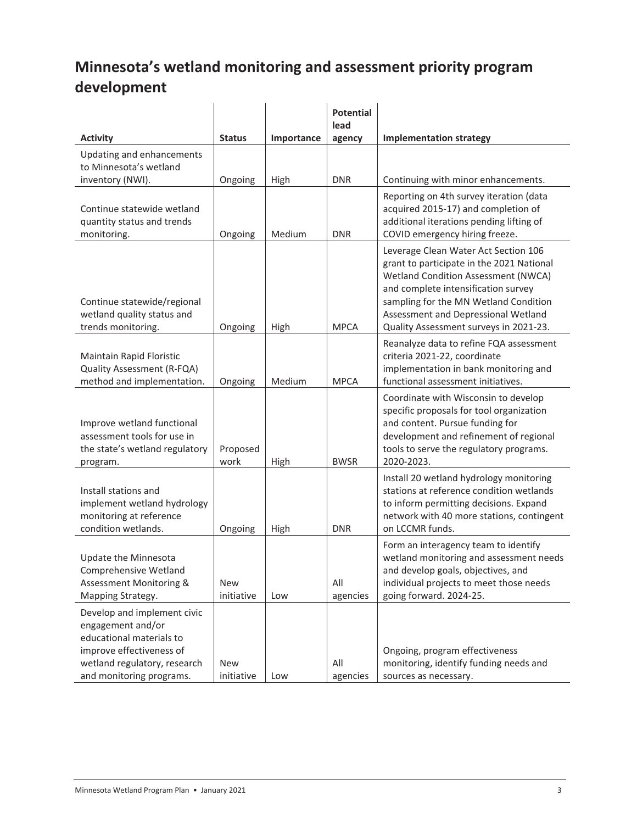# **Minnesota's wetland monitoring and assessment priority program development**

|                                                                                                                                                                      |                   |            | <b>Potential</b><br>lead |                                                                                                                                                                                                                                                                                           |
|----------------------------------------------------------------------------------------------------------------------------------------------------------------------|-------------------|------------|--------------------------|-------------------------------------------------------------------------------------------------------------------------------------------------------------------------------------------------------------------------------------------------------------------------------------------|
| <b>Activity</b>                                                                                                                                                      | <b>Status</b>     | Importance | agency                   | <b>Implementation strategy</b>                                                                                                                                                                                                                                                            |
| Updating and enhancements<br>to Minnesota's wetland                                                                                                                  |                   |            |                          |                                                                                                                                                                                                                                                                                           |
| inventory (NWI).                                                                                                                                                     | Ongoing           | High       | <b>DNR</b>               | Continuing with minor enhancements.                                                                                                                                                                                                                                                       |
| Continue statewide wetland<br>quantity status and trends<br>monitoring.                                                                                              | Ongoing           | Medium     | <b>DNR</b>               | Reporting on 4th survey iteration (data<br>acquired 2015-17) and completion of<br>additional iterations pending lifting of<br>COVID emergency hiring freeze.                                                                                                                              |
| Continue statewide/regional<br>wetland quality status and<br>trends monitoring.                                                                                      | Ongoing           | High       | <b>MPCA</b>              | Leverage Clean Water Act Section 106<br>grant to participate in the 2021 National<br>Wetland Condition Assessment (NWCA)<br>and complete intensification survey<br>sampling for the MN Wetland Condition<br>Assessment and Depressional Wetland<br>Quality Assessment surveys in 2021-23. |
| Maintain Rapid Floristic<br>Quality Assessment (R-FQA)<br>method and implementation.                                                                                 | Ongoing           | Medium     | <b>MPCA</b>              | Reanalyze data to refine FQA assessment<br>criteria 2021-22, coordinate<br>implementation in bank monitoring and<br>functional assessment initiatives.                                                                                                                                    |
| Improve wetland functional<br>assessment tools for use in<br>the state's wetland regulatory<br>program.                                                              | Proposed<br>work  | High       | <b>BWSR</b>              | Coordinate with Wisconsin to develop<br>specific proposals for tool organization<br>and content. Pursue funding for<br>development and refinement of regional<br>tools to serve the regulatory programs.<br>2020-2023.                                                                    |
| Install stations and<br>implement wetland hydrology<br>monitoring at reference<br>condition wetlands.                                                                | Ongoing           | High       | <b>DNR</b>               | Install 20 wetland hydrology monitoring<br>stations at reference condition wetlands<br>to inform permitting decisions. Expand<br>network with 40 more stations, contingent<br>on LCCMR funds.                                                                                             |
| Update the Minnesota<br>Comprehensive Wetland<br>Assessment Monitoring &<br>Mapping Strategy.                                                                        | New<br>initiative | Low        | All<br>agencies          | Form an interagency team to identify<br>wetland monitoring and assessment needs<br>and develop goals, objectives, and<br>individual projects to meet those needs<br>going forward. 2024-25.                                                                                               |
| Develop and implement civic<br>engagement and/or<br>educational materials to<br>improve effectiveness of<br>wetland regulatory, research<br>and monitoring programs. | New<br>initiative | Low        | All<br>agencies          | Ongoing, program effectiveness<br>monitoring, identify funding needs and<br>sources as necessary.                                                                                                                                                                                         |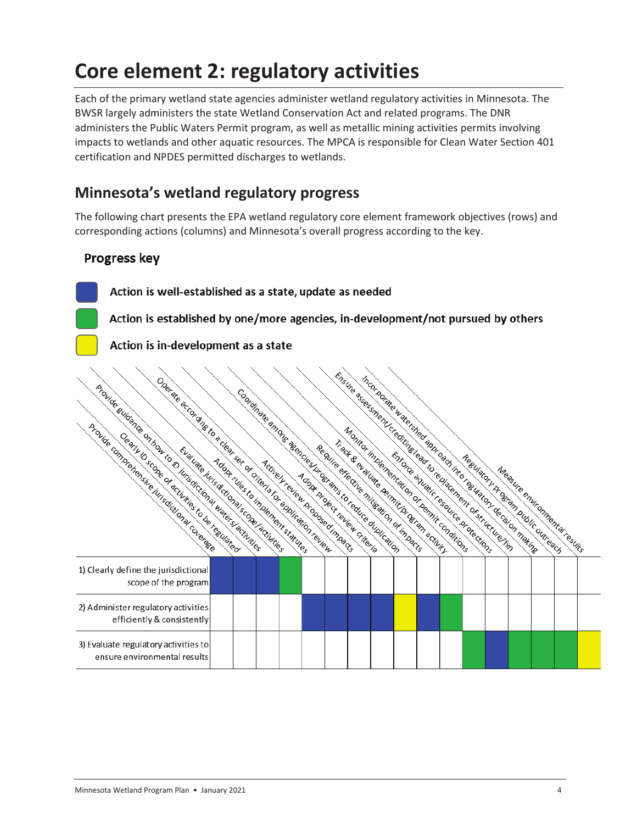# **Core element 2: regulatory activities**

Each of the primary wetland state agencies administer wetland regulatory activities in Minnesota. The BWSR largely administers the state Wetland Conservation Act and related programs. The DNR administers the Public Waters Permit program, as well as metallic mining activities permits involving impacts to wetlands and other aquatic resources. The MPCA is responsible for Clean Water Section 401 certification and NPDES permitted discharges to wetlands.

### **Minnesota's wetland regulatory progress**

The following chart presents the EPA wetland regulatory core element framework objectives (rows) and corresponding actions (columns) and Minnesota's overall progress according to the key.

### Progress key

Action is well-established as a state, update as needed

Action is established by one/more agencies, in-development/not pursued by others

Action is in-development as a state

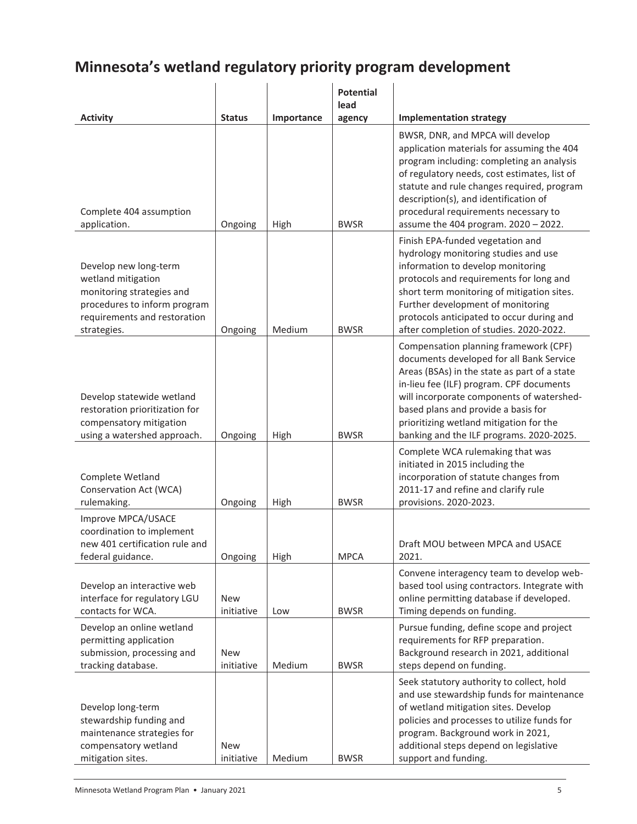### **Minnesota's wetland regulatory priority program development**

|                                                                                                                                                         |                          |            | <b>Potential</b><br>lead |                                                                                                                                                                                                                                                                                                                                                          |
|---------------------------------------------------------------------------------------------------------------------------------------------------------|--------------------------|------------|--------------------------|----------------------------------------------------------------------------------------------------------------------------------------------------------------------------------------------------------------------------------------------------------------------------------------------------------------------------------------------------------|
| <b>Activity</b>                                                                                                                                         | <b>Status</b>            | Importance | agency                   | <b>Implementation strategy</b>                                                                                                                                                                                                                                                                                                                           |
| Complete 404 assumption<br>application.                                                                                                                 | Ongoing                  | High       | <b>BWSR</b>              | BWSR, DNR, and MPCA will develop<br>application materials for assuming the 404<br>program including: completing an analysis<br>of regulatory needs, cost estimates, list of<br>statute and rule changes required, program<br>description(s), and identification of<br>procedural requirements necessary to<br>assume the 404 program. 2020 - 2022.       |
| Develop new long-term<br>wetland mitigation<br>monitoring strategies and<br>procedures to inform program<br>requirements and restoration<br>strategies. | Ongoing                  | Medium     | <b>BWSR</b>              | Finish EPA-funded vegetation and<br>hydrology monitoring studies and use<br>information to develop monitoring<br>protocols and requirements for long and<br>short term monitoring of mitigation sites.<br>Further development of monitoring<br>protocols anticipated to occur during and<br>after completion of studies. 2020-2022.                      |
| Develop statewide wetland<br>restoration prioritization for<br>compensatory mitigation<br>using a watershed approach.                                   | Ongoing                  | High       | <b>BWSR</b>              | Compensation planning framework (CPF)<br>documents developed for all Bank Service<br>Areas (BSAs) in the state as part of a state<br>in-lieu fee (ILF) program. CPF documents<br>will incorporate components of watershed-<br>based plans and provide a basis for<br>prioritizing wetland mitigation for the<br>banking and the ILF programs. 2020-2025. |
| Complete Wetland<br>Conservation Act (WCA)<br>rulemaking.                                                                                               | Ongoing                  | High       | <b>BWSR</b>              | Complete WCA rulemaking that was<br>initiated in 2015 including the<br>incorporation of statute changes from<br>2011-17 and refine and clarify rule<br>provisions. 2020-2023.                                                                                                                                                                            |
| Improve MPCA/USACE<br>coordination to implement<br>new 401 certification rule and<br>federal guidance.                                                  | Ongoing                  | High       | <b>MPCA</b>              | Draft MOU between MPCA and USACE<br>2021.                                                                                                                                                                                                                                                                                                                |
| Develop an interactive web<br>interface for regulatory LGU<br>contacts for WCA.                                                                         | <b>New</b><br>initiative | Low        | <b>BWSR</b>              | Convene interagency team to develop web-<br>based tool using contractors. Integrate with<br>online permitting database if developed.<br>Timing depends on funding.                                                                                                                                                                                       |
| Develop an online wetland<br>permitting application<br>submission, processing and<br>tracking database.                                                 | <b>New</b><br>initiative | Medium     | <b>BWSR</b>              | Pursue funding, define scope and project<br>requirements for RFP preparation.<br>Background research in 2021, additional<br>steps depend on funding.                                                                                                                                                                                                     |
| Develop long-term<br>stewardship funding and<br>maintenance strategies for<br>compensatory wetland<br>mitigation sites.                                 | <b>New</b><br>initiative | Medium     | <b>BWSR</b>              | Seek statutory authority to collect, hold<br>and use stewardship funds for maintenance<br>of wetland mitigation sites. Develop<br>policies and processes to utilize funds for<br>program. Background work in 2021,<br>additional steps depend on legislative<br>support and funding.                                                                     |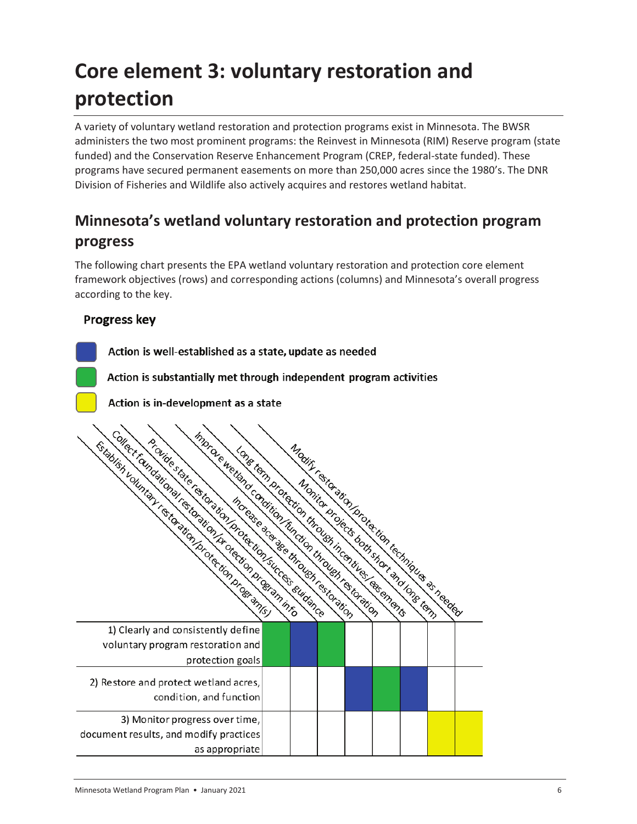# **Core element 3: voluntary restoration and protection**

A variety of voluntary wetland restoration and protection programs exist in Minnesota. The BWSR administers the two most prominent programs: the Reinvest in Minnesota (RIM) Reserve program (state funded) and the Conservation Reserve Enhancement Program (CREP, federal-state funded). These programs have secured permanent easements on more than 250,000 acres since the 1980's. The DNR Division of Fisheries and Wildlife also actively acquires and restores wetland habitat.

## **Minnesota's wetland voluntary restoration and protection program progress**

The following chart presents the EPA wetland voluntary restoration and protection core element framework objectives (rows) and corresponding actions (columns) and Minnesota's overall progress according to the key.

### **Progress key**

Action is well-established as a state, update as needed Action is substantially met through independent program activities Action is in-development as a state Metter is the detection of the temperature of the temperature of the temperature of the temperature of the temperature of the temperature of the temperature of the temperature of the temperature of the temperature of the t mor de la Gardina Condição de la Gardina de Caractería de la Gardina de La Gardina de La Gardina de La Gardina<br>Estado de la Gardina de La Gardina de La Gardina de La Gardina de La Gardina de La Gardina de La Gardina de La<br> A force state of the temperature of the temperature of the temperature of the temperature of the temperature of the temperature of the temperature of the temperature of the temperature of the temperature of the temperature Collect Christian State is the Marian Collision of the Marian Collection of the Marian Collection of the Marian Collection of the Marian Collection of the Marian Collection of the Marian Collection of the Marian Collection Modify rection in the strip of the condition of the condition of the condition of the condition of the condition of the condition of the condition of the condition of the condition of the condition of the condition of the reflection of the distribution of the distribution of the transfer of the transfer of the transfer of the transfer of the transfer of the transfer of the transfer of the transfer of the transfer of the transfer of the tran Monito di Gregorian di Santonio di Santo di Santo di Santo di Santo di Santo di Santo di Santo di Santo di San<br>Introducto di Santo di Santo di Santo di Santo di Santo di Santo di Santo di Santo di Santo di Santo di Santo<br>E 1) Clearly and consistently define voluntary program restoration and protection goals 2) Restore and protect wetland acres, condition, and function 3) Monitor progress over time, document results, and modify practices as appropriate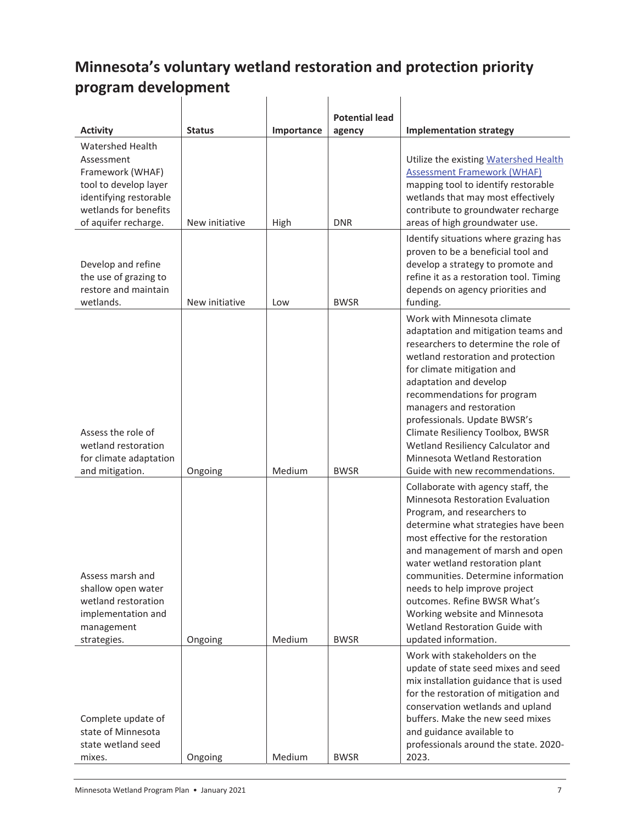#### **Minnesota's voluntary wetland restoration and protection priority program development**   $\mathbf{L}$  $\mathbf{I}$  $\mathbf{I}$

|                                                                                                                                                               |                |            | <b>Potential lead</b> |                                                                                                                                                                                                                                                                                                                                                                                                                                                             |
|---------------------------------------------------------------------------------------------------------------------------------------------------------------|----------------|------------|-----------------------|-------------------------------------------------------------------------------------------------------------------------------------------------------------------------------------------------------------------------------------------------------------------------------------------------------------------------------------------------------------------------------------------------------------------------------------------------------------|
| <b>Activity</b>                                                                                                                                               | <b>Status</b>  | Importance | agency                | <b>Implementation strategy</b>                                                                                                                                                                                                                                                                                                                                                                                                                              |
| <b>Watershed Health</b><br>Assessment<br>Framework (WHAF)<br>tool to develop layer<br>identifying restorable<br>wetlands for benefits<br>of aquifer recharge. | New initiative | High       | <b>DNR</b>            | Utilize the existing Watershed Health<br><b>Assessment Framework (WHAF)</b><br>mapping tool to identify restorable<br>wetlands that may most effectively<br>contribute to groundwater recharge<br>areas of high groundwater use.                                                                                                                                                                                                                            |
| Develop and refine<br>the use of grazing to<br>restore and maintain<br>wetlands.                                                                              | New initiative | Low        | <b>BWSR</b>           | Identify situations where grazing has<br>proven to be a beneficial tool and<br>develop a strategy to promote and<br>refine it as a restoration tool. Timing<br>depends on agency priorities and<br>funding.                                                                                                                                                                                                                                                 |
| Assess the role of<br>wetland restoration<br>for climate adaptation<br>and mitigation.                                                                        | Ongoing        | Medium     | <b>BWSR</b>           | Work with Minnesota climate<br>adaptation and mitigation teams and<br>researchers to determine the role of<br>wetland restoration and protection<br>for climate mitigation and<br>adaptation and develop<br>recommendations for program<br>managers and restoration<br>professionals. Update BWSR's<br>Climate Resiliency Toolbox, BWSR<br>Wetland Resiliency Calculator and<br>Minnesota Wetland Restoration<br>Guide with new recommendations.            |
| Assess marsh and<br>shallow open water<br>wetland restoration<br>implementation and<br>management<br>strategies.                                              | Ongoing        | Medium     | <b>BWSR</b>           | Collaborate with agency staff, the<br>Minnesota Restoration Evaluation<br>Program, and researchers to<br>determine what strategies have been<br>most effective for the restoration<br>and management of marsh and open<br>water wetland restoration plant<br>communities. Determine information<br>needs to help improve project<br>outcomes. Refine BWSR What's<br>Working website and Minnesota<br>Wetland Restoration Guide with<br>updated information. |
| Complete update of<br>state of Minnesota<br>state wetland seed<br>mixes.                                                                                      | Ongoing        | Medium     | <b>BWSR</b>           | Work with stakeholders on the<br>update of state seed mixes and seed<br>mix installation guidance that is used<br>for the restoration of mitigation and<br>conservation wetlands and upland<br>buffers. Make the new seed mixes<br>and guidance available to<br>professionals around the state. 2020-<br>2023.                                                                                                                                              |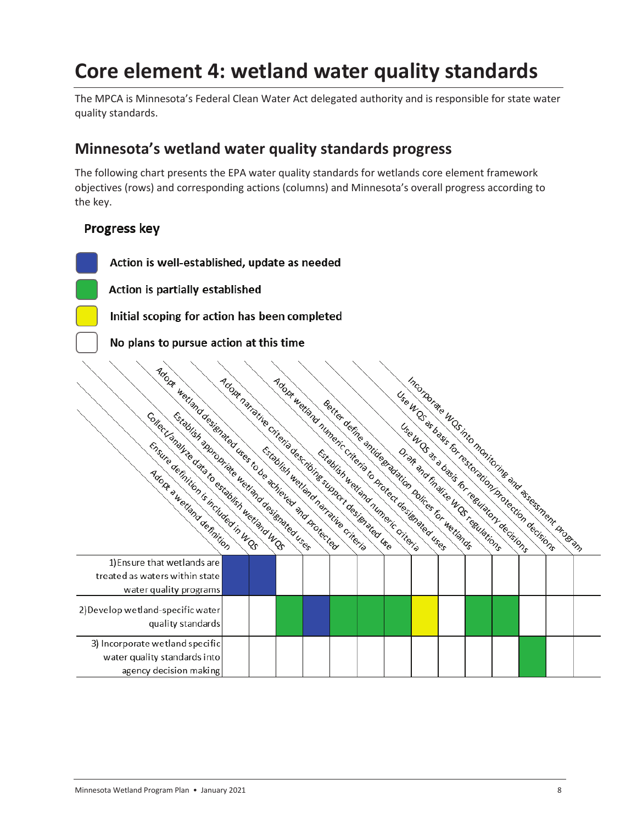# **Core element 4: wetland water quality standards**

The MPCA is Minnesota's Federal Clean Water Act delegated authority and is responsible for state water quality standards.

### **Minnesota's wetland water quality standards progress**

The following chart presents the EPA water quality standards for wetlands core element framework objectives (rows) and corresponding actions (columns) and Minnesota's overall progress according to the key.

#### **Progress key**

Action is well-established, update as needed Action is partially established Initial scoping for action has been completed No plans to pursue action at this time To buildle the time of the contribution of the contribution of the contribution of the contribution of the contribution of the contribution of the contribution of the contribution of the contribution of the contribution of Incorporate under the main interview of the state of the control of the control of the control of the control of the control of the control of the control of the control of the control of the control of the control of the Adopt hain the cities of the the cities of the cities of the cities of the control of the cities of the cities of the cities of the cities of the cities of the cities of the cities of the cities of the cities of the cities Manufacturing the first distribution of the distribution of the Control of the Control of the Control of the Control of the Control of the Control of the Control of the Control of the Control of the Control of the Control Use the direct of the distribution of the transfer of the transfer of the transfer of the transfer of the transfer of the transfer of the transfer of the transfer of the transfer of the transfer of the transfer of the tran Bertief derination of the distribution of the critical control the critic strip of the critical control of the critical control of the critical control of the critical control of the critical control of the critical contro retiand desiration of the critical contractions of the critical contraction of the critical contraction of the critical contraction of the critical contraction of the critical contraction of the critical contraction of the 1) Ensure that wetlands are treated as waters within state water quality programs 2) Develop wetland-specific water quality standards 3) Incorporate wetland specific water quality standards into agency decision making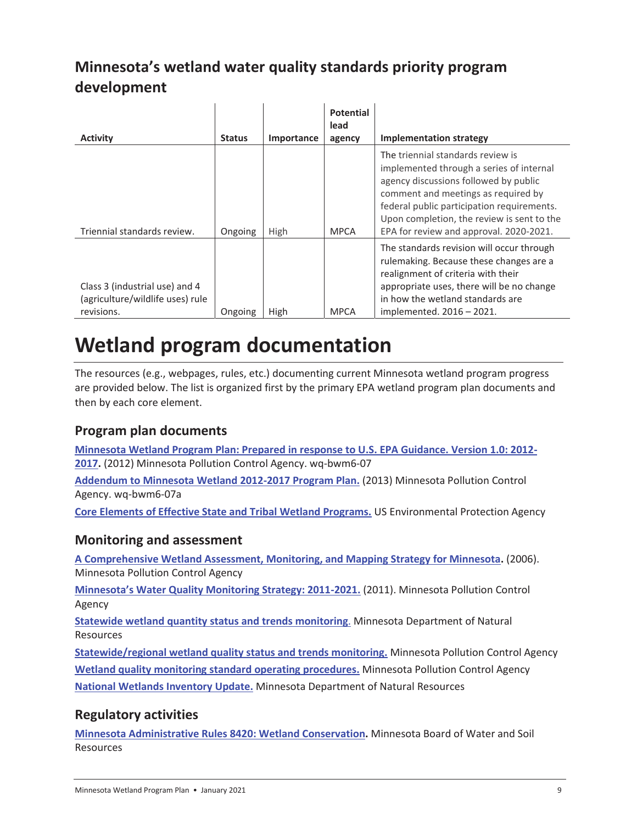## **Minnesota's wetland water quality standards priority program development**

| <b>Activity</b>                                                                  | <b>Status</b> | Importance | <b>Potential</b><br>lead<br>agency | <b>Implementation strategy</b>                                                                                                                                                                                                                                                                       |
|----------------------------------------------------------------------------------|---------------|------------|------------------------------------|------------------------------------------------------------------------------------------------------------------------------------------------------------------------------------------------------------------------------------------------------------------------------------------------------|
| Triennial standards review.                                                      | Ongoing       | High       | <b>MPCA</b>                        | The triennial standards review is<br>implemented through a series of internal<br>agency discussions followed by public<br>comment and meetings as required by<br>federal public participation requirements.<br>Upon completion, the review is sent to the<br>EPA for review and approval. 2020-2021. |
| Class 3 (industrial use) and 4<br>(agriculture/wildlife uses) rule<br>revisions. | Ongoing       | High       | <b>MPCA</b>                        | The standards revision will occur through<br>rulemaking. Because these changes are a<br>realignment of criteria with their<br>appropriate uses, there will be no change<br>in how the wetland standards are<br>implemented. 2016 - 2021.                                                             |

# **Wetland program documentation**

The resources (e.g., webpages, rules, etc.) documenting current Minnesota wetland program progress are provided below. The list is organized first by the primary EPA wetland program plan documents and then by each core element.

### **Program plan documents**

**Minnesota Wetland Program Plan: Prepared in response to U.S. EPA Guidance. Version 1.0: 2012- 2017.** (2012) Minnesota Pollution Control Agency. wq-bwm6-07

**Addendum to Minnesota Wetland 2012-2017 Program Plan.** (2013) Minnesota Pollution Control Agency. wq-bwm6-07a

**Core Elements of Effective State and Tribal Wetland Programs.** US Environmental Protection Agency

### **Monitoring and assessment**

**A Comprehensive Wetland Assessment, Monitoring, and Mapping Strategy for Minnesota.** (2006). Minnesota Pollution Control Agency

**Minnesota's Water Quality Monitoring Strategy: 2011-2021.** (2011). Minnesota Pollution Control Agency

**Statewide wetland quantity status and trends monitoring**. Minnesota Department of Natural Resources

**Statewide/regional wetland quality status and trends monitoring.** Minnesota Pollution Control Agency **Wetland quality monitoring standard operating procedures.** Minnesota Pollution Control Agency **National Wetlands Inventory Update.** Minnesota Department of Natural Resources

### **Regulatory activities**

**Minnesota Administrative Rules 8420: Wetland Conservation.** Minnesota Board of Water and Soil Resources